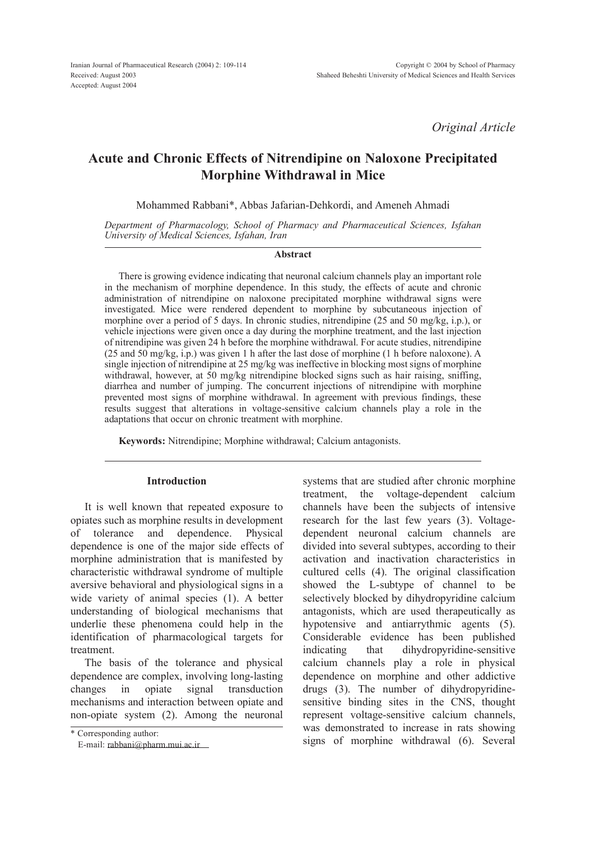*Original Article*

# Acute and Chronic Effects of Nitrendipine on Naloxone Precipitated Morphine Withdrawal in Mice

Mohammed Rabbani\*, Abbas Jafarian-Dehkordi, and Ameneh Ahmadi

*Department of Pharmacology, School of Pharmacy and Pharmaceutical Sciences, Isfahan University of Medical Sciences, Isfahan, Iran*

#### Abstract

There is growing evidence indicating that neuronal calcium channels play an important role in the mechanism of morphine dependence. In this study, the effects of acute and chronic administration of nitrendipine on naloxone precipitated morphine withdrawal signs were investigated. Mice were rendered dependent to morphine by subcutaneous injection of morphine over a period of 5 days. In chronic studies, nitrendipine (25 and 50 mg/kg, i.p.), or vehicle injections were given once a day during the morphine treatment, and the last injection of nitrendipine was given 24 h before the morphine withdrawal. For acute studies, nitrendipine (25 and 50 mg/kg, i.p.) was given 1 h after the last dose of morphine (1 h before naloxone). A single injection of nitrendipine at 25 mg/kg was ineffective in blocking most signs of morphine withdrawal, however, at  $\overline{50}$  mg/kg nitrendipine blocked signs such as hair raising, sniffing, diarrhea and number of jumping. The concurrent injections of nitrendipine with morphine prevented most signs of morphine withdrawal. In agreement with previous findings, these results suggest that alterations in voltage-sensitive calcium channels play a role in the adaptations that occur on chronic treatment with morphine.

Keywords: Nitrendipine; Morphine withdrawal; Calcium antagonists.

# Introduction

It is well known that repeated exposure to opiates such as morphine results in development of tolerance and dependence. Physical dependence is one of the major side effects of morphine administration that is manifested by characteristic withdrawal syndrome of multiple aversive behavioral and physiological signs in a wide variety of animal species (1). A better understanding of biological mechanisms that underlie these phenomena could help in the identification of pharmacological targets for treatment.

The basis of the tolerance and physical dependence are complex, involving long-lasting changes in opiate signal transduction mechanisms and interaction between opiate and non-opiate system (2). Among the neuronal

\* Corresponding author: E-mail: [rabbani@pharm.mui.ac.ir](mailto:rabbani@pharm.mui.ac.ir)

systems that are studied after chronic morphine treatment, the voltage-dependent calcium channels have been the subjects of intensive research for the last few years (3). Voltagedependent neuronal calcium channels are divided into several subtypes, according to their activation and inactivation characteristics in cultured cells (4). The original classification showed the L-subtype of channel to be selectively blocked by dihydropyridine calcium antagonists, which are used therapeutically as hypotensive and antiarrythmic agents (5). Considerable evidence has been published indicating that dihydropyridine-sensitive calcium channels play a role in physical dependence on morphine and other addictive drugs (3). The number of dihydropyridinesensitive binding sites in the CNS, thought represent voltage-sensitive calcium channels, was demonstrated to increase in rats showing signs of morphine withdrawal (6). Several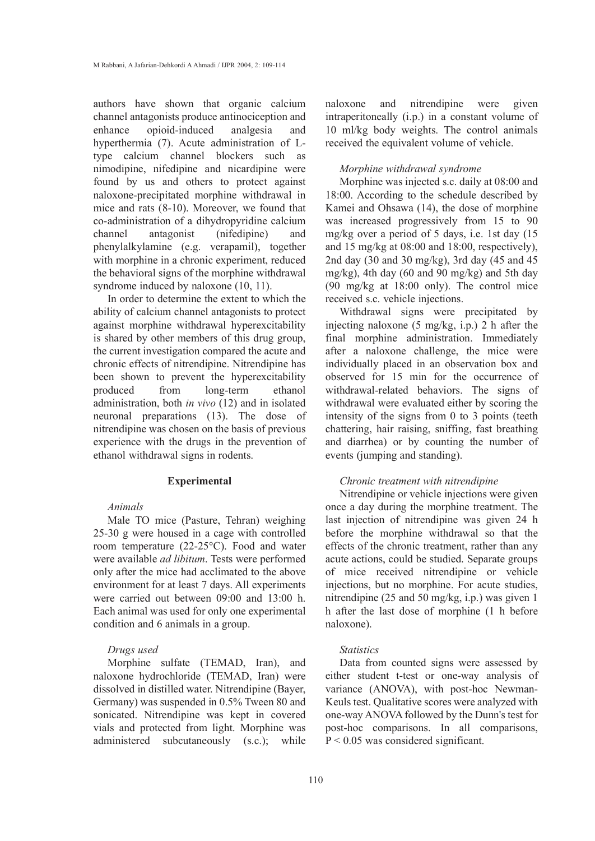authors have shown that organic calcium channel antagonists produce antinociception and opioid-induced analgesia and hyperthermia (7). Acute administration of Ltype calcium channel blockers such as nimodipine, nifedipine and nicardipine were found by us and others to protect against naloxone-precipitated morphine withdrawal in mice and rats (8-10). Moreover, we found that co-administration of a dihydropyridine calcium channel antagonist (nifedipine) and phenylalkylamine (e.g. verapamil), together with morphine in a chronic experiment, reduced the behavioral signs of the morphine withdrawal syndrome induced by naloxone (10, 11).

In order to determine the extent to which the ability of calcium channel antagonists to protect against morphine withdrawal hyperexcitability is shared by other members of this drug group, the current investigation compared the acute and chronic effects of nitrendipine. Nitrendipine has been shown to prevent the hyperexcitability produced from long-term ethanol administration, both *in vivo* (12) and in isolated neuronal preparations (13). The dose of nitrendipine was chosen on the basis of previous experience with the drugs in the prevention of ethanol withdrawal signs in rodents.

# Experimental

#### *Animals*

Male TO mice (Pasture, Tehran) weighing 25-30 g were housed in a cage with controlled room temperature (22-25°C). Food and water were available *ad libitum*. Tests were performed only after the mice had acclimated to the above environment for at least 7 days. All experiments were carried out between 09:00 and 13:00 h. Each animal was used for only one experimental condition and 6 animals in a group.

## *Drugs used*

Morphine sulfate (TEMAD, Iran), and naloxone hydrochloride (TEMAD, Iran) were dissolved in distilled water. Nitrendipine (Bayer, Germany) was suspended in 0.5% Tween 80 and sonicated. Nitrendipine was kept in covered vials and protected from light. Morphine was administered subcutaneously (s.c.); while naloxone and nitrendipine were given intraperitoneally (i.p.) in a constant volume of 10 ml/kg body weights. The control animals received the equivalent volume of vehicle.

#### *Morphine withdrawal syndrome*

Morphine was injected s.c. daily at 08:00 and 18:00. According to the schedule described by Kamei and Ohsawa (14), the dose of morphine was increased progressively from 15 to 90 mg/kg over a period of 5 days, i.e. 1st day (15 and 15 mg/kg at 08:00 and 18:00, respectively), 2nd day (30 and 30 mg/kg), 3rd day (45 and 45 mg/kg), 4th day (60 and 90 mg/kg) and 5th day (90 mg/kg at 18:00 only). The control mice received s.c. vehicle injections.

Withdrawal signs were precipitated by injecting naloxone (5 mg/kg, i.p.) 2 h after the final morphine administration. Immediately after a naloxone challenge, the mice were individually placed in an observation box and observed for 15 min for the occurrence of withdrawal-related behaviors. The signs of withdrawal were evaluated either by scoring the intensity of the signs from 0 to 3 points (teeth chattering, hair raising, sniffing, fast breathing and diarrhea) or by counting the number of events (jumping and standing).

#### *Chronic treatment with nitrendipine*

Nitrendipine or vehicle injections were given once a day during the morphine treatment. The last injection of nitrendipine was given 24 h before the morphine withdrawal so that the effects of the chronic treatment, rather than any acute actions, could be studied. Separate groups of mice received nitrendipine or vehicle injections, but no morphine. For acute studies, nitrendipine (25 and 50 mg/kg, i.p.) was given 1 h after the last dose of morphine (1 h before naloxone).

#### *Statistics*

Data from counted signs were assessed by either student t-test or one-way analysis of variance (ANOVA), with post-hoc Newman-Keuls test. Qualitative scores were analyzed with one-way ANOVA followed by the Dunn's test for post-hoc comparisons. In all comparisons,  $P < 0.05$  was considered significant.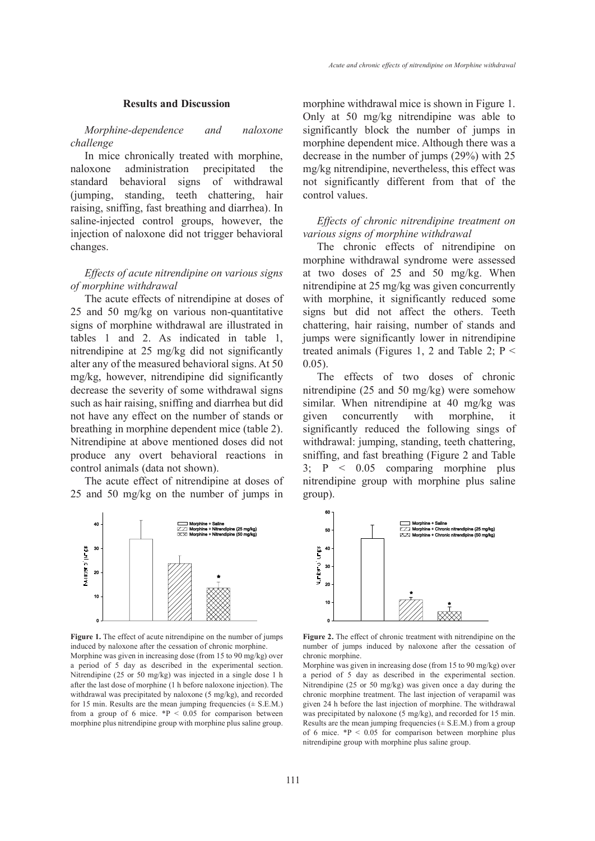#### Results and Discussion

*Morphine-dependence and naloxone challenge*

In mice chronically treated with morphine, naloxone administration precipitated the standard behavioral signs of withdrawal (jumping, standing, teeth chattering, hair raising, sniffing, fast breathing and diarrhea). In saline-injected control groups, however, the injection of naloxone did not trigger behavioral changes.

# *Effects of acute nitrendipine on various signs of morphine withdrawal*

The acute effects of nitrendipine at doses of 25 and 50 mg/kg on various non-quantitative signs of morphine withdrawal are illustrated in tables 1 and 2. As indicated in table 1, nitrendipine at 25 mg/kg did not significantly alter any of the measured behavioral signs. At 50 mg/kg, however, nitrendipine did significantly decrease the severity of some withdrawal signs such as hair raising, sniffing and diarrhea but did not have any effect on the number of stands or breathing in morphine dependent mice (table 2). Nitrendipine at above mentioned doses did not produce any overt behavioral reactions in control animals (data not shown).

The acute effect of nitrendipine at doses of 25 and 50 mg/kg on the number of jumps in



Figure 1. The effect of acute nitrendipine on the number of jumps induced by naloxone after the cessation of chronic morphine. Morphine was given in increasing dose (from 15 to 90 mg/kg) over a period of 5 day as described in the experimental section. Nitrendipine (25 or 50 mg/kg) was injected in a single dose 1 h after the last dose of morphine (1 h before naloxone injection). The withdrawal was precipitated by naloxone (5 mg/kg), and recorded for 15 min. Results are the mean jumping frequencies  $(\pm$  S.E.M.) from a group of 6 mice.  $*P < 0.05$  for comparison between morphine plus nitrendipine group with morphine plus saline group.

morphine withdrawal mice is shown in Figure 1. Only at 50 mg/kg nitrendipine was able to significantly block the number of jumps in morphine dependent mice. Although there was a decrease in the number of jumps (29%) with 25 mg/kg nitrendipine, nevertheless, this effect was not significantly different from that of the control values.

# *Effects of chronic nitrendipine treatment on various signs of morphine withdrawal*

The chronic effects of nitrendipine on morphine withdrawal syndrome were assessed at two doses of 25 and 50 mg/kg. When nitrendipine at 25 mg/kg was given concurrently with morphine, it significantly reduced some signs but did not affect the others. Teeth chattering, hair raising, number of stands and jumps were significantly lower in nitrendipine treated animals (Figures 1, 2 and Table 2;  $P \leq$ 0.05).

The effects of two doses of chronic nitrendipine (25 and 50 mg/kg) were somehow similar. When nitrendipine at 40 mg/kg was given concurrently with morphine, it significantly reduced the following sings of withdrawal: jumping, standing, teeth chattering, sniffing, and fast breathing (Figure 2 and Table 3; P < 0.05 comparing morphine plus nitrendipine group with morphine plus saline group).



Figure 2. The effect of chronic treatment with nitrendipine on the number of jumps induced by naloxone after the cessation of chronic morphine.

Morphine was given in increasing dose (from 15 to 90 mg/kg) over a period of 5 day as described in the experimental section. Nitrendipine (25 or 50 mg/kg) was given once a day during the chronic morphine treatment. The last injection of verapamil was given 24 h before the last injection of morphine. The withdrawal was precipitated by naloxone (5 mg/kg), and recorded for 15 min. Results are the mean jumping frequencies  $(\pm S.E.M.)$  from a group of 6 mice.  $*P < 0.05$  for comparison between morphine plus nitrendipine group with morphine plus saline group.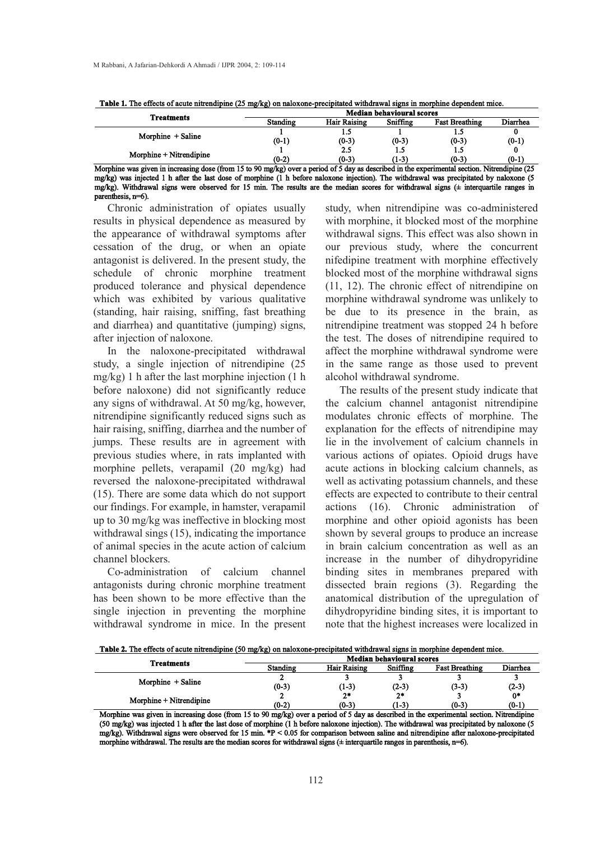| <b>Treatments</b>                                                                                                                             |          | <b>Median behavioural scores</b> |          |                       |          |  |
|-----------------------------------------------------------------------------------------------------------------------------------------------|----------|----------------------------------|----------|-----------------------|----------|--|
|                                                                                                                                               | Standing | <b>Hair Raising</b>              | Sniffing | <b>Fast Breathing</b> | Diarrhea |  |
| Morphine + Saline                                                                                                                             |          | 1.5                              |          |                       |          |  |
|                                                                                                                                               | $(0-1)$  | $(0-3)$                          | $(0-3)$  | $(0-3)$               | $(0-1)$  |  |
| Morphine + Nitrendipine                                                                                                                       |          | 2.5                              |          |                       |          |  |
|                                                                                                                                               | $(0-2)$  | $(0-3)$                          | (1-3)    | $(0-3)$               | $(0-1)$  |  |
| Morphine was given in increasing dose (from 15 to 90 mg/kg) over a period of 5 day as described in the experimental section. Nitrendipine (25 |          |                                  |          |                       |          |  |
|                                                                                                                                               |          |                                  |          | .                     | . .      |  |

Table 1. The effects of acute nitrendipine (25 mg/kg) on naloxone-precipitated withdrawal signs in morphine dependent mice.

mg/kg) was injected 1 h after the last dose of morphine (1 h before naloxone injection). The withdrawal was precipitated by naloxone (5 mg/kg). Withdrawal signs were observed for 15 min. The results are the median scores for withdrawal signs (± interquartile ranges in parenthesis, n=6).

Chronic administration of opiates usually results in physical dependence as measured by the appearance of withdrawal symptoms after cessation of the drug, or when an opiate antagonist is delivered. In the present study, the schedule of chronic morphine treatment produced tolerance and physical dependence which was exhibited by various qualitative (standing, hair raising, sniffing, fast breathing and diarrhea) and quantitative (jumping) signs, after injection of naloxone.

In the naloxone-precipitated withdrawal study, a single injection of nitrendipine (25 mg/kg) 1 h after the last morphine injection (1 h before naloxone) did not significantly reduce any signs of withdrawal. At 50 mg/kg, however, nitrendipine significantly reduced signs such as hair raising, sniffing, diarrhea and the number of jumps. These results are in agreement with previous studies where, in rats implanted with morphine pellets, verapamil (20 mg/kg) had reversed the naloxone-precipitated withdrawal (15). There are some data which do not support our findings. For example, in hamster, verapamil up to 30 mg/kg was ineffective in blocking most withdrawal sings (15), indicating the importance of animal species in the acute action of calcium channel blockers.

Co-administration of calcium channel antagonists during chronic morphine treatment has been shown to be more effective than the single injection in preventing the morphine withdrawal syndrome in mice. In the present study, when nitrendipine was co-administered with morphine, it blocked most of the morphine withdrawal signs. This effect was also shown in our previous study, where the concurrent nifedipine treatment with morphine effectively blocked most of the morphine withdrawal signs (11, 12). The chronic effect of nitrendipine on morphine withdrawal syndrome was unlikely to be due to its presence in the brain, as nitrendipine treatment was stopped 24 h before the test. The doses of nitrendipine required to affect the morphine withdrawal syndrome were in the same range as those used to prevent alcohol withdrawal syndrome.

The results of the present study indicate that the calcium channel antagonist nitrendipine modulates chronic effects of morphine. The explanation for the effects of nitrendipine may lie in the involvement of calcium channels in various actions of opiates. Opioid drugs have acute actions in blocking calcium channels, as well as activating potassium channels, and these effects are expected to contribute to their central  $\arctan(16)$ . Chronic administration morphine and other opioid agonists has been shown by several groups to produce an increase in brain calcium concentration as well as an increase in the number of dihydropyridine binding sites in membranes prepared with dissected brain regions (3). Regarding the anatomical distribution of the upregulation of dihydropyridine binding sites, it is important to note that the highest increases were localized in

Table 2. The effects of acute nitrendipine (50 mg/kg) on naloxone-precipitated withdrawal signs in morphine dependent mice.

| <b>Treatments</b>        | <b>Median behavioural scores</b> |                     |          |                       |          |
|--------------------------|----------------------------------|---------------------|----------|-----------------------|----------|
|                          | Standing                         | <b>Hair Raising</b> | Sniffing | <b>Fast Breathing</b> | Diarrhea |
| Morphine + Saline        |                                  |                     |          |                       |          |
|                          | $(0-3)$                          | (1-3)               | $(2-3)$  | $(3-3)$               | $(2-3)$  |
| Morphine + Nitrendipine  |                                  | $2*$                | $2*$     |                       | 0*       |
|                          | $(0-2)$                          | $(0-3)$             | (1-3)    | $(0-3)$               | $(0-1)$  |
| $\sim$ $\sim$<br>.<br>__ | . .<br>__                        | .                   | .        |                       | --       |

Morphine was given in increasing dose (from 15 to 90 mg/kg) over a period of 5 day as described in the experimental section. Nitrendipine (50 mg/kg) was injected 1 h after the last dose of morphine (1 h before naloxone injection). The withdrawal was precipitated by naloxone (5 mg/kg). Withdrawal signs were observed for 15 min. \*P < 0.05 for comparison between saline and nitrendipine after naloxone-precipitated morphine withdrawal. The results are the median scores for withdrawal signs ( $\pm$  interquartile ranges in parenthesis, n=6).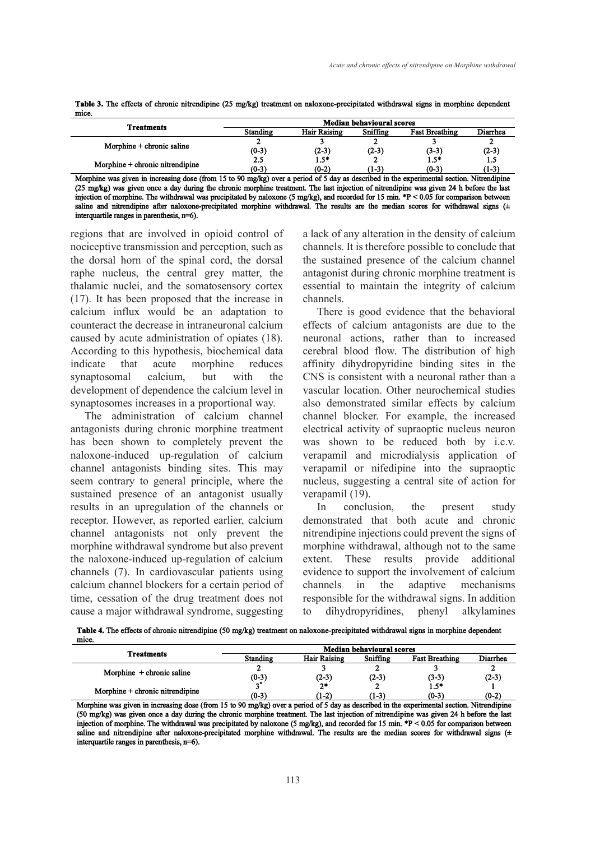| Table 3. The effects of chronic nitrendipine (25 mg/kg) treatment on naloxone-precipitated withdrawal signs in morphine dependent |  |  |
|-----------------------------------------------------------------------------------------------------------------------------------|--|--|
| mice.                                                                                                                             |  |  |
|                                                                                                                                   |  |  |

| <b>Treatments</b>               | <b>Median behavioural scores</b> |                       |          |                       |                  |
|---------------------------------|----------------------------------|-----------------------|----------|-----------------------|------------------|
|                                 | <b>Standing</b>                  | <b>Hair Raising</b>   | Sniffing | <b>Fast Breathing</b> | Diarrhea         |
| Morphine $+$ chronic saline     |                                  |                       |          |                       |                  |
|                                 | $(0-3)$                          | $(2-3)$               | $(2-3)$  | $(3-3)$               | $(2-3)$          |
| Morphine + chronic nitrendipine |                                  | $1.5*$                |          | 1.5*                  | ن. د             |
|                                 | $(0-3)$                          | $(0-2)$               | (1-3)    | $(0-3)$               | (1-3)            |
| .<br>$\overline{\phantom{a}}$   | .<br>$\sim$                      | ---<br>$\blacksquare$ | $\cdots$ | . .                   | $\cdots$<br>$-1$ |

Morphine was given in increasing dose (from 15 to 90 mg/kg) over a period of 5 day as described in the experimental section. Nitrendi (25 mg/kg) was given once a day during the chronic morphine treatment. The last injection of nitrendipine was given 24 h before the last injection of morphine. The withdrawal was precipitated by naloxone (5 mg/kg), and recorded for 15 min. \*P < 0.05 for comparison between saline and nitrendipine after naloxone-precipitated morphine withdrawal. The results are the median scores for withdrawal signs (± interquartile ranges in parenthesis, n=6).

regions that are involved in opioid control of nociceptive transmission and perception, such as the dorsal horn of the spinal cord, the dorsal raphe nucleus, the central grey matter, the thalamic nuclei, and the somatosensory cortex (17). It has been proposed that the increase in calcium influx would be an adaptation to counteract the decrease in intraneuronal calcium caused by acute administration of opiates (18). According to this hypothesis, biochemical data indicate that acute morphine reduces synaptosomal calcium, but with the development of dependence the calcium level in synaptosomes increases in a proportional way.

The administration of calcium channel antagonists during chronic morphine treatment has been shown to completely prevent the naloxone-induced up-regulation of calcium channel antagonists binding sites. This may seem contrary to general principle, where the sustained presence of an antagonist usually results in an upregulation of the channels or receptor. However, as reported earlier, calcium channel antagonists not only prevent the morphine withdrawal syndrome but also prevent the naloxone-induced up-regulation of calcium channels (7). In cardiovascular patients using calcium channel blockers for a certain period of time, cessation of the drug treatment does not cause a major withdrawal syndrome, suggesting

a lack of any alteration in the density of calcium channels. It is therefore possible to conclude that the sustained presence of the calcium channel antagonist during chronic morphine treatment is essential to maintain the integrity of calcium channels.

There is good evidence that the behavioral effects of calcium antagonists are due to the neuronal actions, rather than to increased cerebral blood flow. The distribution of high affinity dihydropyridine binding sites in the CNS is consistent with a neuronal rather than a vascular location. Other neurochemical studies also demonstrated similar effects by calcium channel blocker. For example, the increased electrical activity of supraoptic nucleus neuron was shown to be reduced both by i.c.v. verapamil and microdialysis application of verapamil or nifedipine into the supraoptic nucleus, suggesting a central site of action for verapamil (19).

In conclusion, the present study demonstrated that both acute and chronic nitrendipine injections could prevent the signs of morphine withdrawal, although not to the same extent. These results provide additional evidence to support the involvement of calcium channels in the adaptive mechanisms responsible for the withdrawal signs. In addition to dihydropyridines, phenyl alkylamines

Table 4. The effects of chronic nitrendipine (50 mg/kg) treatment on naloxone-precipitated withdrawal signs in morphine dependent  $mice.$ 

|                                    | <b>Median behavioural scores</b> |                     |          |                       |          |
|------------------------------------|----------------------------------|---------------------|----------|-----------------------|----------|
| <b>Treatments</b>                  | Standing                         | <b>Hair Raising</b> | Sniffing | <b>Fast Breathing</b> | Diarrhea |
| Morphine $+$ chronic saline        |                                  |                     |          |                       |          |
|                                    | $(0-3)$                          | $(2-3)$             | $(2-3)$  | (3-3)                 | $(2-3)$  |
| $M$ orphine + chronic nitrendipine |                                  | $2*$                |          | $1.5*$                |          |
|                                    | (0-3)                            | (1-2)               | (1-3)    | $(0-3)$               | $(0-2)$  |

Morphine was given in increasing dose (from 15 to 90 mg/kg) over a period of 5 day as described in the experimental section. Nitrendipine (50 mg/kg) was given once a day during the chronic morphine treatment. The last injection of nitrendipine was given 24 h before the last injection of morphine. The withdrawal was precipitated by naloxone (5 mg/kg), and recorded for 15 min. \*P < 0.05 for comparison between saline and nitrendipine after naloxone-precipitated morphine withdrawal. The results are the median scores for withdrawal signs (± interquartile ranges in parenthesis, n=6).